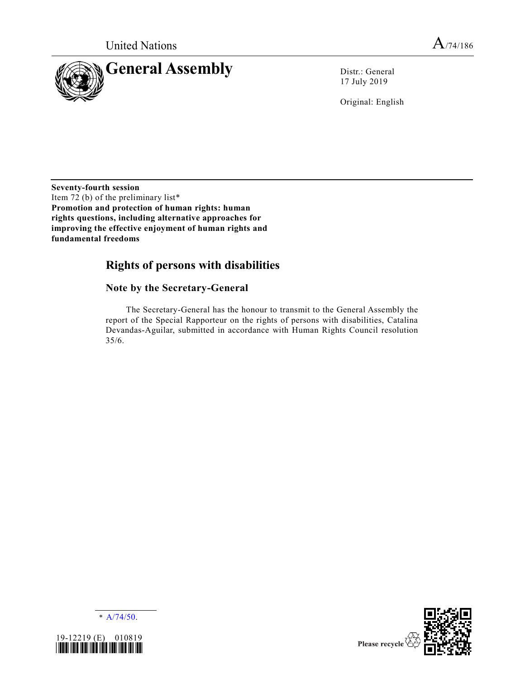

17 July 2019

Original: English

**Seventy-fourth session** Item 72 (b) of the preliminary list\* **Promotion and protection of human rights: human rights questions, including alternative approaches for improving the effective enjoyment of human rights and fundamental freedoms**

# **Rights of persons with disabilities**

## **Note by the Secretary-General**

The Secretary-General has the honour to transmit to the General Assembly the report of the Special Rapporteur on the rights of persons with disabilities, Catalina Devandas-Aguilar, submitted in accordance with Human Rights Council resolution 35/6.





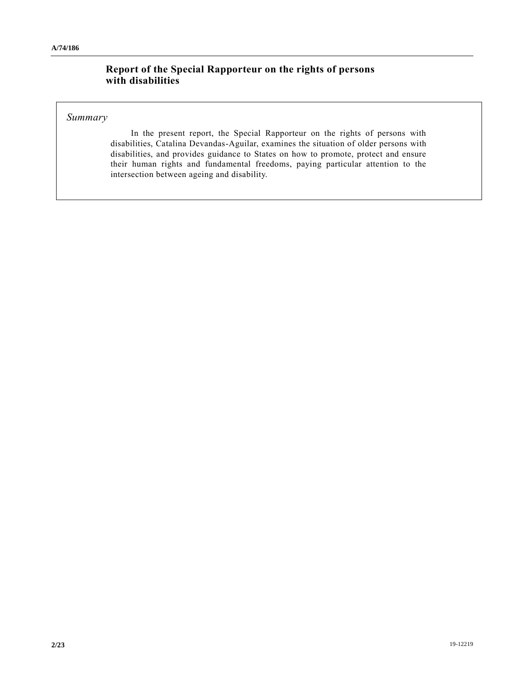## **Report of the Special Rapporteur on the rights of persons with disabilities**

## *Summary*

In the present report, the Special Rapporteur on the rights of persons with disabilities, Catalina Devandas-Aguilar, examines the situation of older persons with disabilities, and provides guidance to States on how to promote, protect and ensure their human rights and fundamental freedoms, paying particular attention to the intersection between ageing and disability.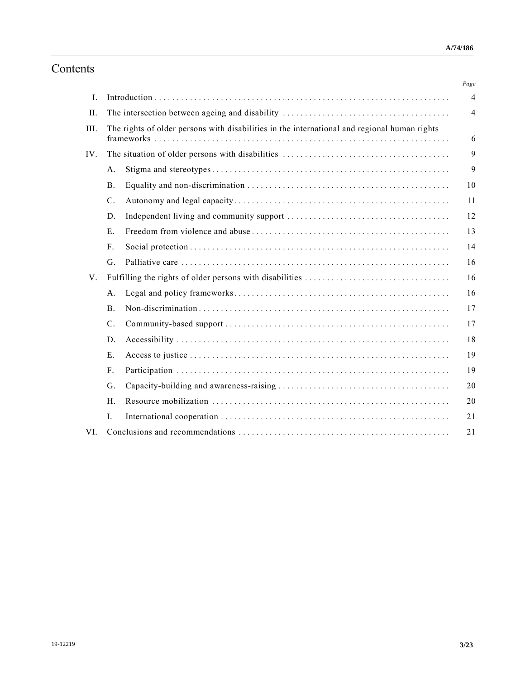# Contents

|                |             |                                                                                              | Page |  |
|----------------|-------------|----------------------------------------------------------------------------------------------|------|--|
| $\mathbf{I}$ . |             |                                                                                              |      |  |
| II.            |             |                                                                                              |      |  |
| III.           |             | The rights of older persons with disabilities in the international and regional human rights |      |  |
| IV.            |             |                                                                                              | 9    |  |
|                | A.          |                                                                                              | 9    |  |
|                | <b>B.</b>   |                                                                                              | 10   |  |
|                | $C$ .       |                                                                                              | 11   |  |
|                | D.          |                                                                                              | 12   |  |
|                | E.          |                                                                                              | 13   |  |
|                | $F_{\cdot}$ |                                                                                              | 14   |  |
|                | G.          |                                                                                              | 16   |  |
| V.             |             |                                                                                              | 16   |  |
|                | A.          |                                                                                              | 16   |  |
|                | B.          |                                                                                              | 17   |  |
|                | $C$ .       |                                                                                              | 17   |  |
|                | D.          |                                                                                              | 18   |  |
|                | E.          |                                                                                              | 19   |  |
|                | $F_{\cdot}$ |                                                                                              | 19   |  |
|                | G.          |                                                                                              | 20   |  |
|                | H.          |                                                                                              | 20   |  |
|                | I.          |                                                                                              | 21   |  |
| VI.            |             | 21                                                                                           |      |  |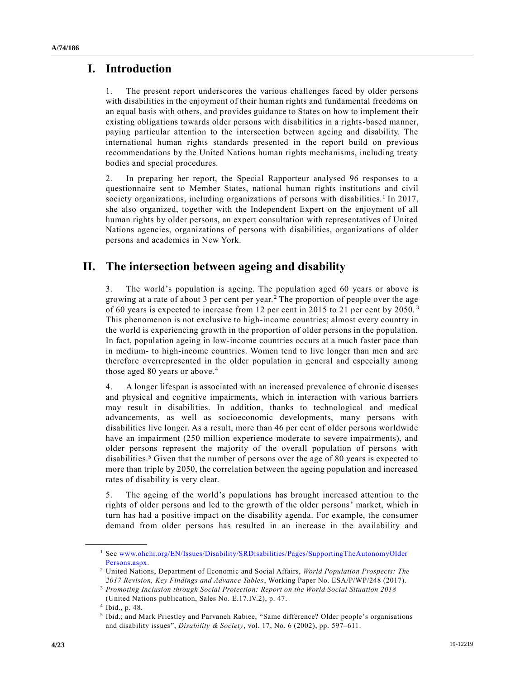## **I. Introduction**

1. The present report underscores the various challenges faced by older persons with disabilities in the enjoyment of their human rights and fundamental freedoms on an equal basis with others, and provides guidance to States on how to implement their existing obligations towards older persons with disabilities in a rights-based manner, paying particular attention to the intersection between ageing and disability. The international human rights standards presented in the report build on previous recommendations by the United Nations human rights mechanisms, including treaty bodies and special procedures.

2. In preparing her report, the Special Rapporteur analysed 96 responses to a questionnaire sent to Member States, national human rights institutions and civil society organizations, including organizations of persons with disabilities.<sup>1</sup> In 2017, she also organized, together with the Independent Expert on the enjoyment of all human rights by older persons, an expert consultation with representatives of United Nations agencies, organizations of persons with disabilities, organizations of older persons and academics in New York.

## **II. The intersection between ageing and disability**

3. The world's population is ageing. The population aged 60 years or above is growing at a rate of about 3 per cent per year.<sup>2</sup> The proportion of people over the age of 60 years is expected to increase from 12 per cent in 2015 to 21 per cent by 2050.<sup>3</sup> This phenomenon is not exclusive to high-income countries; almost every country in the world is experiencing growth in the proportion of older persons in the population. In fact, population ageing in low-income countries occurs at a much faster pace than in medium- to high-income countries. Women tend to live longer than men and are therefore overrepresented in the older population in general and especially among those aged 80 years or above.<sup>4</sup>

4. A longer lifespan is associated with an increased prevalence of chronic diseases and physical and cognitive impairments, which in interaction with various barriers may result in disabilities. In addition, thanks to technological and medical advancements, as well as socioeconomic developments, many persons with disabilities live longer. As a result, more than 46 per cent of older persons worldwide have an impairment (250 million experience moderate to severe impairments), and older persons represent the majority of the overall population of persons with disabilities.<sup>5</sup> Given that the number of persons over the age of 80 years is expected to more than triple by 2050, the correlation between the ageing population and increased rates of disability is very clear.

5. The ageing of the world's populations has brought increased attention to the rights of older persons and led to the growth of the older persons' market, which in turn has had a positive impact on the disability agenda. For example, the consumer demand from older persons has resulted in an increase in the availability and

<sup>&</sup>lt;sup>1</sup> See www.ohchr.org/EN/Issues/Disability/SRDisabilities/Pages/SupportingTheAutonomyOlder [Persons.aspx.](http://www.ohchr.org/EN/Issues/Disability/SRDisabilities/Pages/SupportingTheAutonomyOlder%20Persons.aspx)

<sup>2</sup> United Nations, Department of Economic and Social Affairs, *World Population Prospects: The 2017 Revision, Key Findings and Advance Tables*, Working Paper No. ESA/P/WP/248 (2017).

<sup>3</sup> *Promoting Inclusion through Social Protection: Report on the World Social Situation 2018*

<sup>(</sup>United Nations publication, Sales No. E.17.IV.2), p. 47.

<sup>4</sup> Ibid., p. 48.

<sup>5</sup> Ibid.; and Mark Priestley and Parvaneh Rabiee, "Same difference? Older people's organisations and disability issues", *Disability & Society*, vol. 17, No. 6 (2002), pp. 597–611.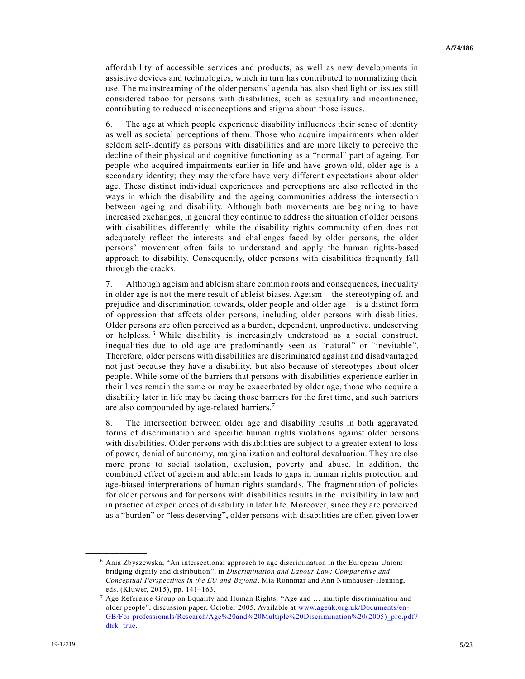affordability of accessible services and products, as well as new developments in assistive devices and technologies, which in turn has contributed to normalizing their use. The mainstreaming of the older persons' agenda has also shed light on issues still considered taboo for persons with disabilities, such as sexuality and incontinence, contributing to reduced misconceptions and stigma about those issues.

6. The age at which people experience disability influences their sense of identity as well as societal perceptions of them. Those who acquire impairments when older seldom self-identify as persons with disabilities and are more likely to perceive the decline of their physical and cognitive functioning as a "normal" part of ageing. For people who acquired impairments earlier in life and have grown old, older age is a secondary identity; they may therefore have very different expectations about older age. These distinct individual experiences and perceptions are also reflected in the ways in which the disability and the ageing communities address the intersection between ageing and disability. Although both movements are beginning to have increased exchanges, in general they continue to address the situation of older persons with disabilities differently: while the disability rights community often does not adequately reflect the interests and challenges faced by older persons, the older persons' movement often fails to understand and apply the human rights-based approach to disability. Consequently, older persons with disabilities frequently fall through the cracks.

7. Although ageism and ableism share common roots and consequences, inequality in older age is not the mere result of ableist biases. Ageism – the stereotyping of, and prejudice and discrimination towards, older people and older age – is a distinct form of oppression that affects older persons, including older persons with disabilities. Older persons are often perceived as a burden, dependent, unproductive, undeserving or helpless.<sup>6</sup> While disability is increasingly understood as a social construct, inequalities due to old age are predominantly seen as "natural" or "inevitable". Therefore, older persons with disabilities are discriminated against and disadvantaged not just because they have a disability, but also because of stereotypes about older people. While some of the barriers that persons with disabilities experience earlier in their lives remain the same or may be exacerbated by older age, those who acquire a disability later in life may be facing those barriers for the first time, and such barriers are also compounded by age-related barriers.<sup>7</sup>

8. The intersection between older age and disability results in both aggravated forms of discrimination and specific human rights violations against older persons with disabilities. Older persons with disabilities are subject to a greater extent to loss of power, denial of autonomy, marginalization and cultural devaluation. They are also more prone to social isolation, exclusion, poverty and abuse. In addition, the combined effect of ageism and ableism leads to gaps in human rights protection and age-biased interpretations of human rights standards. The fragmentation of policies for older persons and for persons with disabilities results in the invisibility in law and in practice of experiences of disability in later life. Moreover, since they are perceived as a "burden" or "less deserving", older persons with disabilities are often given lower

<sup>6</sup> Ania Zbyszewska, "An intersectional approach to age discrimination in the European Union: bridging dignity and distribution", in *Discrimination and Labour Law: Comparative and Conceptual Perspectives in the EU and Beyond*, Mia Ronnmar and Ann Numhauser-Henning, eds. (Kluwer, 2015), pp. 141–163.

 $7$  Age Reference Group on Equality and Human Rights, "Age and  $\ldots$  multiple discrimination and older people", discussion paper, October 2005. Available at [www.ageuk.org.uk/Documents/en-](http://www.ageuk.org.uk/Documents/en-GB/For-professionals/Research/Age%20and%20Multiple%20Discrimination%20(2005)_pro.pdf?%20dtrk=true)[GB/For-professionals/Research/Age%20and%20Multiple%20Discrimination%20\(2005\)\\_pro.pdf?](http://www.ageuk.org.uk/Documents/en-GB/For-professionals/Research/Age%20and%20Multiple%20Discrimination%20(2005)_pro.pdf?%20dtrk=true)  [dtrk=true.](http://www.ageuk.org.uk/Documents/en-GB/For-professionals/Research/Age%20and%20Multiple%20Discrimination%20(2005)_pro.pdf?%20dtrk=true)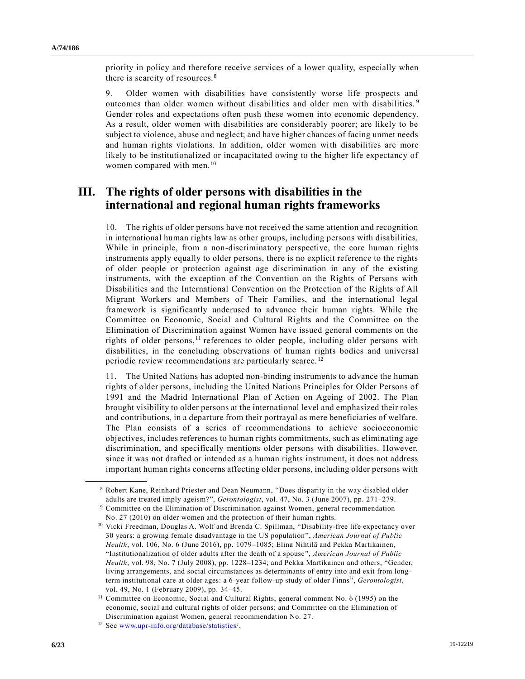priority in policy and therefore receive services of a lower quality, especially when there is scarcity of resources.<sup>8</sup>

9. Older women with disabilities have consistently worse life prospects and outcomes than older women without disabilities and older men with disabilities.<sup>9</sup> Gender roles and expectations often push these women into economic dependency. As a result, older women with disabilities are considerably poorer; are likely to be subject to violence, abuse and neglect; and have higher chances of facing unmet needs and human rights violations. In addition, older women with disabilities are more likely to be institutionalized or incapacitated owing to the higher life expectancy of women compared with men.<sup>10</sup>

## **III. The rights of older persons with disabilities in the international and regional human rights frameworks**

10. The rights of older persons have not received the same attention and recognition in international human rights law as other groups, including persons with disabilities. While in principle, from a non-discriminatory perspective, the core human rights instruments apply equally to older persons, there is no explicit reference to the rights of older people or protection against age discrimination in any of the existing instruments, with the exception of the Convention on the Rights of Persons with Disabilities and the International Convention on the Protection of the Rights of All Migrant Workers and Members of Their Families, and the international legal framework is significantly underused to advance their human rights. While the Committee on Economic, Social and Cultural Rights and the Committee on the Elimination of Discrimination against Women have issued general comments on the rights of older persons,<sup>11</sup> references to older people, including older persons with disabilities, in the concluding observations of human rights bodies and universal periodic review recommendations are particularly scarce. <sup>12</sup>

11. The United Nations has adopted non-binding instruments to advance the human rights of older persons, including the United Nations Principles for Older Persons of 1991 and the Madrid International Plan of Action on Ageing of 2002. The Plan brought visibility to older persons at the international level and emphasized their roles and contributions, in a departure from their portrayal as mere beneficiaries of welfare. The Plan consists of a series of recommendations to achieve socioeconomic objectives, includes references to human rights commitments, such as eliminating age discrimination, and specifically mentions older persons with disabilities. However, since it was not drafted or intended as a human rights instrument, it does not address important human rights concerns affecting older persons, including older persons with

<sup>8</sup> Robert Kane, Reinhard Priester and Dean Neumann, "Does disparity in the way disabled older adults are treated imply ageism?", *Gerontologist*, vol. 47, No. 3 (June 2007), pp. 271–279.

<sup>&</sup>lt;sup>9</sup> Committee on the Elimination of Discrimination against Women, general recommendation No. 27 (2010) on older women and the protection of their human rights.

<sup>10</sup> Vicki Freedman, Douglas A. Wolf and Brenda C. Spillman, "Disability-free life expectancy over 30 years: a growing female disadvantage in the US population", *American Journal of Public Health*, vol. 106, No. 6 (June 2016), pp. 1079–1085; Elina Nihtilä and Pekka Martikainen, "Institutionalization of older adults after the death of a spouse", *American Journal of Public Health*, vol. 98, No. 7 (July 2008), pp. 1228–1234; and Pekka Martikainen and others, "Gender, living arrangements, and social circumstances as determinants of entry into and exit from longterm institutional care at older ages: a 6-year follow-up study of older Finns", *Gerontologist*, vol. 49, No. 1 (February 2009), pp. 34–45.

<sup>&</sup>lt;sup>11</sup> Committee on Economic, Social and Cultural Rights, general comment No. 6 (1995) on the economic, social and cultural rights of older persons; and Committee on the Elimination of Discrimination against Women, general recommendation No. 27.

<sup>12</sup> See [www.upr-info.org/database/statistics/.](http://www.upr-info.org/database/statistics/)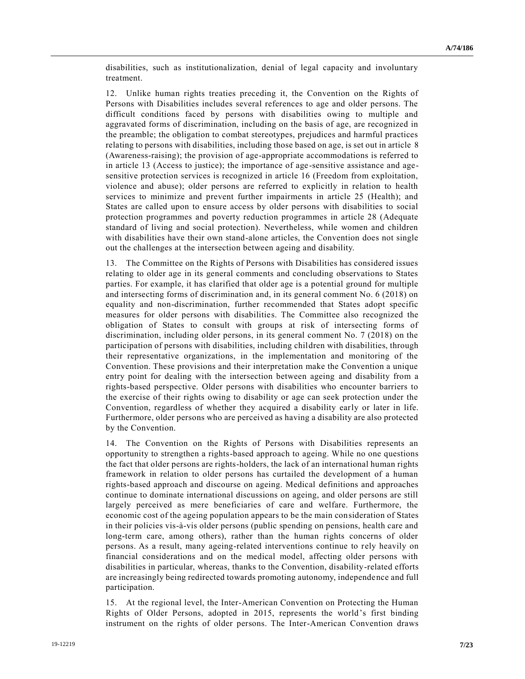disabilities, such as institutionalization, denial of legal capacity and involuntary treatment.

12. Unlike human rights treaties preceding it, the Convention on the Rights of Persons with Disabilities includes several references to age and older persons. The difficult conditions faced by persons with disabilities owing to multiple and aggravated forms of discrimination, including on the basis of age, are recognized in the preamble; the obligation to combat stereotypes, prejudices and harmful practices relating to persons with disabilities, including those based on age, is set out in article 8 (Awareness-raising); the provision of age-appropriate accommodations is referred to in article 13 (Access to justice); the importance of age-sensitive assistance and agesensitive protection services is recognized in article 16 (Freedom from exploitation, violence and abuse); older persons are referred to explicitly in relation to health services to minimize and prevent further impairments in article 25 (Health); and States are called upon to ensure access by older persons with disabilities to social protection programmes and poverty reduction programmes in article 28 (Adequate standard of living and social protection). Nevertheless, while women and children with disabilities have their own stand-alone articles, the Convention does not single out the challenges at the intersection between ageing and disability.

13. The Committee on the Rights of Persons with Disabilities has considered issues relating to older age in its general comments and concluding observations to States parties. For example, it has clarified that older age is a potential ground for multiple and intersecting forms of discrimination and, in its general comment No. 6 (2018) on equality and non-discrimination, further recommended that States adopt specific measures for older persons with disabilities. The Committee also recognized the obligation of States to consult with groups at risk of intersecting forms of discrimination, including older persons, in its general comment No. 7 (2018) on the participation of persons with disabilities, including children with disabilities, through their representative organizations, in the implementation and monitoring of the Convention. These provisions and their interpretation make the Convention a unique entry point for dealing with the intersection between ageing and disability from a rights-based perspective. Older persons with disabilities who encounter barriers to the exercise of their rights owing to disability or age can seek protection under the Convention, regardless of whether they acquired a disability early or later in life. Furthermore, older persons who are perceived as having a disability are also protected by the Convention.

14. The Convention on the Rights of Persons with Disabilities represents an opportunity to strengthen a rights-based approach to ageing. While no one questions the fact that older persons are rights-holders, the lack of an international human rights framework in relation to older persons has curtailed the development of a human rights-based approach and discourse on ageing. Medical definitions and approaches continue to dominate international discussions on ageing, and older persons are still largely perceived as mere beneficiaries of care and welfare. Furthermore, the economic cost of the ageing population appears to be the main consideration of States in their policies vis-à-vis older persons (public spending on pensions, health care and long-term care, among others), rather than the human rights concerns of older persons. As a result, many ageing-related interventions continue to rely heavily on financial considerations and on the medical model, affecting older persons with disabilities in particular, whereas, thanks to the Convention, disability-related efforts are increasingly being redirected towards promoting autonomy, independence and full participation.

15. At the regional level, the Inter-American Convention on Protecting the Human Rights of Older Persons, adopted in 2015, represents the world's first binding instrument on the rights of older persons. The Inter-American Convention draws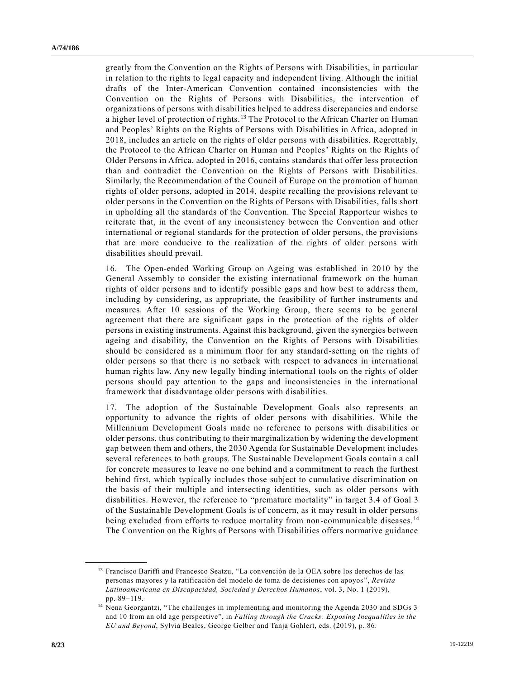greatly from the Convention on the Rights of Persons with Disabilities, in particular in relation to the rights to legal capacity and independent living. Although the initial drafts of the Inter-American Convention contained inconsistencies with the Convention on the Rights of Persons with Disabilities, the intervention of organizations of persons with disabilities helped to address discrepancies and endorse a higher level of protection of rights.<sup>13</sup> The Protocol to the African Charter on Human and Peoples' Rights on the Rights of Persons with Disabilities in Africa, adopted in 2018, includes an article on the rights of older persons with disabilities. Regrettably, the Protocol to the African Charter on Human and Peoples' Rights on the Rights of Older Persons in Africa, adopted in 2016, contains standards that offer less protection than and contradict the Convention on the Rights of Persons with Disabilities. Similarly, the Recommendation of the Council of Europe on the promotion of human rights of older persons, adopted in 2014, despite recalling the provisions relevant to older persons in the Convention on the Rights of Persons with Disabilities, falls short in upholding all the standards of the Convention. The Special Rapporteur wishes to reiterate that, in the event of any inconsistency between the Convention and other international or regional standards for the protection of older persons, the provisions that are more conducive to the realization of the rights of older persons with disabilities should prevail.

16. The Open-ended Working Group on Ageing was established in 2010 by the General Assembly to consider the existing international framework on the human rights of older persons and to identify possible gaps and how best to address them, including by considering, as appropriate, the feasibility of further instruments and measures. After 10 sessions of the Working Group, there seems to be general agreement that there are significant gaps in the protection of the rights of older persons in existing instruments. Against this background, given the synergies between ageing and disability, the Convention on the Rights of Persons with Disabilities should be considered as a minimum floor for any standard-setting on the rights of older persons so that there is no setback with respect to advances in international human rights law. Any new legally binding international tools on the rights of older persons should pay attention to the gaps and inconsistencies in the international framework that disadvantage older persons with disabilities.

17. The adoption of the Sustainable Development Goals also represents an opportunity to advance the rights of older persons with disabilities. While the Millennium Development Goals made no reference to persons with disabilities or older persons, thus contributing to their marginalization by widening the development gap between them and others, the 2030 Agenda for Sustainable Development includes several references to both groups. The Sustainable Development Goals contain a call for concrete measures to leave no one behind and a commitment to reach the furthest behind first, which typically includes those subject to cumulative discrimination on the basis of their multiple and intersecting identities, such as older persons with disabilities. However, the reference to "premature mortality" in target 3.4 of Goal 3 of the Sustainable Development Goals is of concern, as it may result in older persons being excluded from efforts to reduce mortality from non-communicable diseases.<sup>14</sup> The Convention on the Rights of Persons with Disabilities offers normative guidance

<sup>&</sup>lt;sup>13</sup> Francisco Bariffi and Francesco Seatzu, "La convención de la OEA sobre los derechos de las personas mayores y la ratificación del modelo de toma de decisiones con apoyos ", *Revista Latinoamericana en Discapacidad, Sociedad y Derechos Humanos*, vol. 3, No. 1 (2019), pp. 89−119.

<sup>14</sup> Nena Georgantzi, "The challenges in implementing and monitoring the Agenda 2030 and SDGs 3 and 10 from an old age perspective", in *Falling through the Cracks: Exposing Inequalities in the EU and Beyond*, Sylvia Beales, George Gelber and Tanja Gohlert, eds. (2019), p. 86.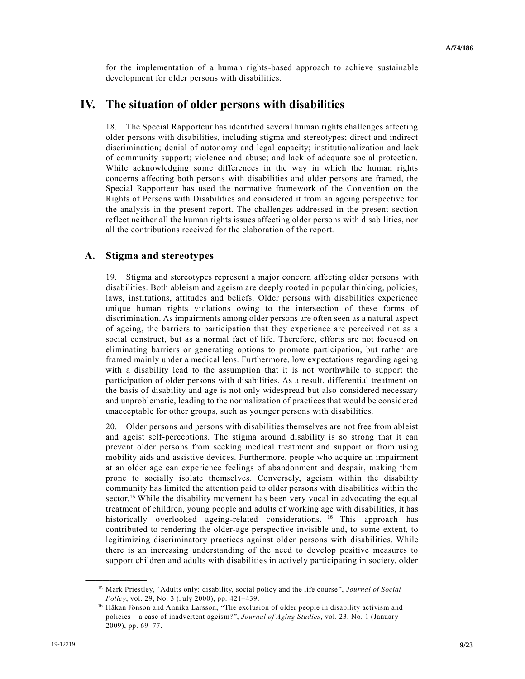for the implementation of a human rights-based approach to achieve sustainable development for older persons with disabilities.

## **IV. The situation of older persons with disabilities**

18. The Special Rapporteur has identified several human rights challenges affecting older persons with disabilities, including stigma and stereotypes; direct and indirect discrimination; denial of autonomy and legal capacity; institutionalization and lack of community support; violence and abuse; and lack of adequate social protection. While acknowledging some differences in the way in which the human rights concerns affecting both persons with disabilities and older persons are framed, the Special Rapporteur has used the normative framework of the Convention on the Rights of Persons with Disabilities and considered it from an ageing perspective for the analysis in the present report. The challenges addressed in the present section reflect neither all the human rights issues affecting older persons with disabilities, nor all the contributions received for the elaboration of the report.

#### **A. Stigma and stereotypes**

19. Stigma and stereotypes represent a major concern affecting older persons with disabilities. Both ableism and ageism are deeply rooted in popular thinking, policies, laws, institutions, attitudes and beliefs. Older persons with disabilities experience unique human rights violations owing to the intersection of these forms of discrimination. As impairments among older persons are often seen as a natural aspect of ageing, the barriers to participation that they experience are perceived not as a social construct, but as a normal fact of life. Therefore, efforts are not focused on eliminating barriers or generating options to promote participation, but rather are framed mainly under a medical lens. Furthermore, low expectations regarding ageing with a disability lead to the assumption that it is not worthwhile to support the participation of older persons with disabilities. As a result, differential treatment on the basis of disability and age is not only widespread but also considered necessary and unproblematic, leading to the normalization of practices that would be considered unacceptable for other groups, such as younger persons with disabilities.

20. Older persons and persons with disabilities themselves are not free from ableist and ageist self-perceptions. The stigma around disability is so strong that it can prevent older persons from seeking medical treatment and support or from using mobility aids and assistive devices. Furthermore, people who acquire an impairment at an older age can experience feelings of abandonment and despair, making them prone to socially isolate themselves. Conversely, ageism within the disability community has limited the attention paid to older persons with disabilities within the sector.<sup>15</sup> While the disability movement has been very vocal in advocating the equal treatment of children, young people and adults of working age with disabilities, it has historically overlooked ageing-related considerations. <sup>16</sup> This approach has contributed to rendering the older-age perspective invisible and, to some extent, to legitimizing discriminatory practices against older persons with disabilities. While there is an increasing understanding of the need to develop positive measures to support children and adults with disabilities in actively participating in society, older

<sup>15</sup> Mark Priestley, "Adults only: disability, social policy and the life course", *Journal of Social Policy*, vol. 29, No. 3 (July 2000), pp. 421–439.

<sup>&</sup>lt;sup>16</sup> Håkan Jönson and Annika Larsson, "The exclusion of older people in disability activism and policies – a case of inadvertent ageism?", *Journal of Aging Studies*, vol. 23, No. 1 (January 2009), pp. 69–77.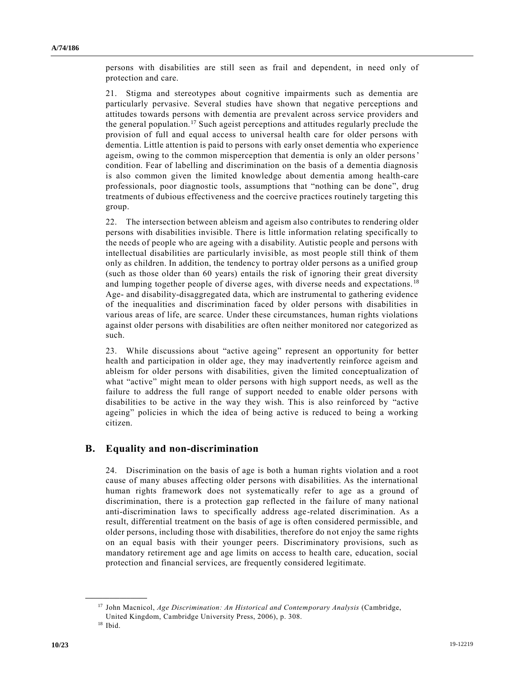persons with disabilities are still seen as frail and dependent, in need only of protection and care.

21. Stigma and stereotypes about cognitive impairments such as dementia are particularly pervasive. Several studies have shown that negative perceptions and attitudes towards persons with dementia are prevalent across service providers and the general population.<sup>17</sup> Such ageist perceptions and attitudes regularly preclude the provision of full and equal access to universal health care for older persons with dementia. Little attention is paid to persons with early onset dementia who experience ageism, owing to the common misperception that dementia is only an older persons' condition. Fear of labelling and discrimination on the basis of a dementia diagnosis is also common given the limited knowledge about dementia among health-care professionals, poor diagnostic tools, assumptions that "nothing can be done", drug treatments of dubious effectiveness and the coercive practices routinely targeting this group.

22. The intersection between ableism and ageism also contributes to rendering older persons with disabilities invisible. There is little information relating specifically to the needs of people who are ageing with a disability. Autistic people and persons with intellectual disabilities are particularly invisible, as most people still think of them only as children. In addition, the tendency to portray older persons as a unified group (such as those older than 60 years) entails the risk of ignoring their great diversity and lumping together people of diverse ages, with diverse needs and expectations. <sup>18</sup> Age- and disability-disaggregated data, which are instrumental to gathering evidence of the inequalities and discrimination faced by older persons with disabilities in various areas of life, are scarce. Under these circumstances, human rights violations against older persons with disabilities are often neither monitored nor categorized as such.

23. While discussions about "active ageing" represent an opportunity for better health and participation in older age, they may inadvertently reinforce ageism and ableism for older persons with disabilities, given the limited conceptualization of what "active" might mean to older persons with high support needs, as well as the failure to address the full range of support needed to enable older persons with disabilities to be active in the way they wish. This is also reinforced by "active ageing" policies in which the idea of being active is reduced to being a working citizen.

#### **B. Equality and non-discrimination**

24. Discrimination on the basis of age is both a human rights violation and a root cause of many abuses affecting older persons with disabilities. As the international human rights framework does not systematically refer to age as a ground of discrimination, there is a protection gap reflected in the failure of many national anti-discrimination laws to specifically address age-related discrimination. As a result, differential treatment on the basis of age is often considered permissible, and older persons, including those with disabilities, therefore do not enjoy the same rights on an equal basis with their younger peers. Discriminatory provisions, such as mandatory retirement age and age limits on access to health care, education, social protection and financial services, are frequently considered legitimate.

<sup>17</sup> John Macnicol, *Age Discrimination: An Historical and Contemporary Analysis* (Cambridge, United Kingdom, Cambridge University Press, 2006), p. 308.

 $18$  Ibid.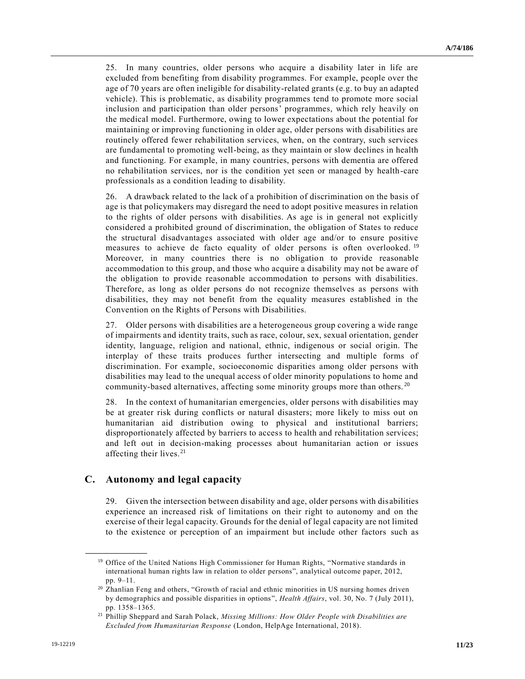25. In many countries, older persons who acquire a disability later in life are excluded from benefiting from disability programmes. For example, people over the age of 70 years are often ineligible for disability-related grants (e.g. to buy an adapted vehicle). This is problematic, as disability programmes tend to promote more social inclusion and participation than older persons' programmes, which rely heavily on the medical model. Furthermore, owing to lower expectations about the potential for maintaining or improving functioning in older age, older persons with disabilities are routinely offered fewer rehabilitation services, when, on the contrary, such services are fundamental to promoting well-being, as they maintain or slow declines in health and functioning. For example, in many countries, persons with dementia are offered no rehabilitation services, nor is the condition yet seen or managed by health-care professionals as a condition leading to disability.

26. A drawback related to the lack of a prohibition of discrimination on the basis of age is that policymakers may disregard the need to adopt positive measures in relation to the rights of older persons with disabilities. As age is in general not explicitly considered a prohibited ground of discrimination, the obligation of States to reduce the structural disadvantages associated with older age and/or to ensure positive measures to achieve de facto equality of older persons is often overlooked. <sup>19</sup> Moreover, in many countries there is no obligation to provide reasonable accommodation to this group, and those who acquire a disability may not be aware of the obligation to provide reasonable accommodation to persons with disabilities. Therefore, as long as older persons do not recognize themselves as persons with disabilities, they may not benefit from the equality measures established in the Convention on the Rights of Persons with Disabilities.

27. Older persons with disabilities are a heterogeneous group covering a wide range of impairments and identity traits, such as race, colour, sex, sexual orientation, gender identity, language, religion and national, ethnic, indigenous or social origin. The interplay of these traits produces further intersecting and multiple forms of discrimination. For example, socioeconomic disparities among older persons with disabilities may lead to the unequal access of older minority populations to home and community-based alternatives, affecting some minority groups more than others.<sup>20</sup>

28. In the context of humanitarian emergencies, older persons with disabilities may be at greater risk during conflicts or natural disasters; more likely to miss out on humanitarian aid distribution owing to physical and institutional barriers; disproportionately affected by barriers to access to health and rehabilitation services; and left out in decision-making processes about humanitarian action or issues affecting their lives.<sup>21</sup>

### **C. Autonomy and legal capacity**

**\_\_\_\_\_\_\_\_\_\_\_\_\_\_\_\_\_\_**

29. Given the intersection between disability and age, older persons with disabilities experience an increased risk of limitations on their right to autonomy and on the exercise of their legal capacity. Grounds for the denial of legal capacity are not limited to the existence or perception of an impairment but include other factors such as

<sup>&</sup>lt;sup>19</sup> Office of the United Nations High Commissioner for Human Rights, "Normative standards in international human rights law in relation to older persons", analytical outcome paper, 2012, pp. 9–11.

<sup>&</sup>lt;sup>20</sup> Zhanlian Feng and others, "Growth of racial and ethnic minorities in US nursing homes driven by demographics and possible disparities in options", *Health Affairs*, vol. 30, No. 7 (July 2011), pp. 1358–1365.

<sup>21</sup> Phillip Sheppard and Sarah Polack, *Missing Millions: How Older People with Disabilities are Excluded from Humanitarian Response* (London, HelpAge International, 2018).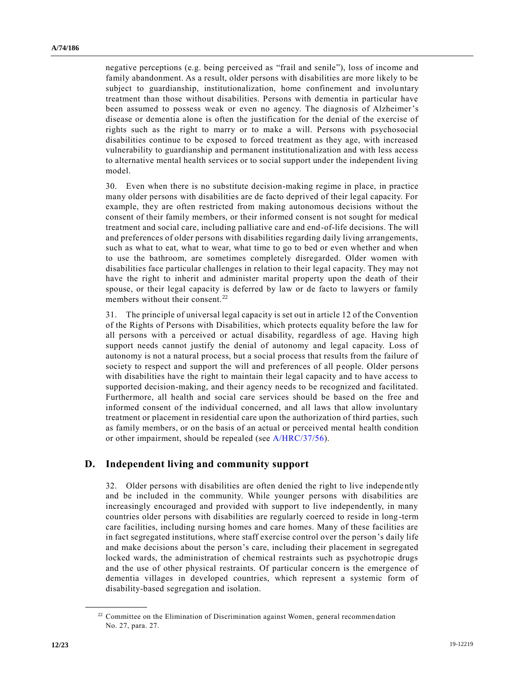negative perceptions (e.g. being perceived as "frail and senile"), loss of income and family abandonment. As a result, older persons with disabilities are more likely to be subject to guardianship, institutionalization, home confinement and involuntary treatment than those without disabilities. Persons with dementia in particular have been assumed to possess weak or even no agency. The diagnosis of Alzheimer's disease or dementia alone is often the justification for the denial of the exercise of rights such as the right to marry or to make a will. Persons with psychosocial disabilities continue to be exposed to forced treatment as they age, with increased vulnerability to guardianship and permanent institutionalization and with less access to alternative mental health services or to social support under the independent living model.

30. Even when there is no substitute decision-making regime in place, in practice many older persons with disabilities are de facto deprived of their legal capacity. For example, they are often restricted from making autonomous decisions without the consent of their family members, or their informed consent is not sought for medical treatment and social care, including palliative care and end-of-life decisions. The will and preferences of older persons with disabilities regarding daily living arrangements, such as what to eat, what to wear, what time to go to bed or even whether and when to use the bathroom, are sometimes completely disregarded. Older women with disabilities face particular challenges in relation to their legal capacity. They may not have the right to inherit and administer marital property upon the death of their spouse, or their legal capacity is deferred by law or de facto to lawyers or family members without their consent.<sup>22</sup>

31. The principle of universal legal capacity is set out in article 12 of the Convention of the Rights of Persons with Disabilities, which protects equality before the law for all persons with a perceived or actual disability, regardless of age. Having high support needs cannot justify the denial of autonomy and legal capacity. Loss of autonomy is not a natural process, but a social process that results from the failure of society to respect and support the will and preferences of all people. Older persons with disabilities have the right to maintain their legal capacity and to have access to supported decision-making, and their agency needs to be recognized and facilitated. Furthermore, all health and social care services should be based on the free and informed consent of the individual concerned, and all laws that allow involuntary treatment or placement in residential care upon the authorization of third parties, such as family members, or on the basis of an actual or perceived mental health condition or other impairment, should be repealed (see [A/HRC/37/56\)](https://undocs.org/en/A/HRC/37/56).

#### **D. Independent living and community support**

32. Older persons with disabilities are often denied the right to live independe ntly and be included in the community. While younger persons with disabilities are increasingly encouraged and provided with support to live independently, in many countries older persons with disabilities are regularly coerced to reside in long -term care facilities, including nursing homes and care homes. Many of these facilities are in fact segregated institutions, where staff exercise control over the person's daily life and make decisions about the person's care, including their placement in segregated locked wards, the administration of chemical restraints such as psychotropic drugs and the use of other physical restraints. Of particular concern is the emergence of dementia villages in developed countries, which represent a systemic form of disability-based segregation and isolation.

 $22$  Committee on the Elimination of Discrimination against Women, general recommendation No. 27, para. 27.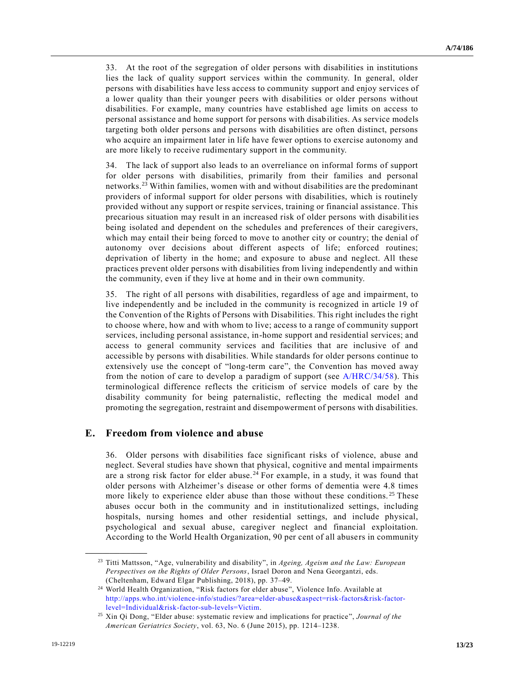33. At the root of the segregation of older persons with disabilities in institutions lies the lack of quality support services within the community. In general, older persons with disabilities have less access to community support and enjoy services of a lower quality than their younger peers with disabilities or older persons without disabilities. For example, many countries have established age limits on access to personal assistance and home support for persons with disabilities. As service models targeting both older persons and persons with disabilities are often distinct, persons who acquire an impairment later in life have fewer options to exercise autonomy and are more likely to receive rudimentary support in the community.

34. The lack of support also leads to an overreliance on informal forms of support for older persons with disabilities, primarily from their families and personal networks.<sup>23</sup> Within families, women with and without disabilities are the predominant providers of informal support for older persons with disabilities, which is routinely provided without any support or respite services, training or financial assistance. This precarious situation may result in an increased risk of older persons with disabilities being isolated and dependent on the schedules and preferences of their caregivers, which may entail their being forced to move to another city or country; the denial of autonomy over decisions about different aspects of life; enforced routines; deprivation of liberty in the home; and exposure to abuse and neglect. All these practices prevent older persons with disabilities from living independently and within the community, even if they live at home and in their own community.

35. The right of all persons with disabilities, regardless of age and impairment, to live independently and be included in the community is recognized in article 19 of the Convention of the Rights of Persons with Disabilities. This right includes the right to choose where, how and with whom to live; access to a range of community support services, including personal assistance, in-home support and residential services; and access to general community services and facilities that are inclusive of and accessible by persons with disabilities. While standards for older persons continue to extensively use the concept of "long-term care", the Convention has moved away from the notion of care to develop a paradigm of support (see [A/HRC/34/58\)](https://undocs.org/en/A/HRC/34/58). This terminological difference reflects the criticism of service models of care by the disability community for being paternalistic, reflecting the medical model and promoting the segregation, restraint and disempowerment of persons with disabilities.

### **E. Freedom from violence and abuse**

36. Older persons with disabilities face significant risks of violence, abuse and neglect. Several studies have shown that physical, cognitive and mental impairments are a strong risk factor for elder abuse. <sup>24</sup> For example, in a study, it was found that older persons with Alzheimer's disease or other forms of dementia were 4.8 times more likely to experience elder abuse than those without these conditions.<sup>25</sup> These abuses occur both in the community and in institutionalized settings, including hospitals, nursing homes and other residential settings, and include physical, psychological and sexual abuse, caregiver neglect and financial exploitation. According to the World Health Organization, 90 per cent of all abusers in community

<sup>23</sup> Titti Mattsson, "Age, vulnerability and disability", in *Ageing, Ageism and the Law: European Perspectives on the Rights of Older Persons*, Israel Doron and Nena Georgantzi, eds. (Cheltenham, Edward Elgar Publishing, 2018), pp. 37–49.

<sup>24</sup> World Health Organization, "Risk factors for elder abuse", Violence Info. Available at [http://apps.who.int/violence-info/studies/?area=elder-abuse&aspect=risk-factors&risk-factor](http://apps.who.int/violence-info/studies/?area=elder-abuse&aspect=risk-factors&risk-factor-level=Individual&risk-factor-sub-levels=Victim)[level=Individual&risk-factor-sub-levels=Victim.](http://apps.who.int/violence-info/studies/?area=elder-abuse&aspect=risk-factors&risk-factor-level=Individual&risk-factor-sub-levels=Victim)

<sup>25</sup> Xin Qi Dong, "Elder abuse: systematic review and implications for practice", *Journal of the American Geriatrics Society*, vol. 63, No. 6 (June 2015), pp. 1214–1238.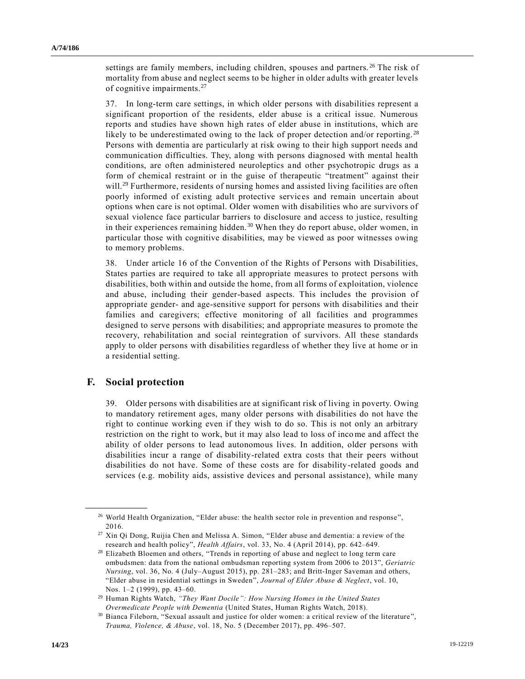settings are family members, including children, spouses and partners.<sup>26</sup> The risk of mortality from abuse and neglect seems to be higher in older adults with greater levels of cognitive impairments.<sup>27</sup>

37. In long-term care settings, in which older persons with disabilities represent a significant proportion of the residents, elder abuse is a critical issue. Numerous reports and studies have shown high rates of elder abuse in institutions, which are likely to be underestimated owing to the lack of proper detection and/or reporting.<sup>28</sup> Persons with dementia are particularly at risk owing to their high support needs and communication difficulties. They, along with persons diagnosed with mental health conditions, are often administered neuroleptics and other psychotropic drugs as a form of chemical restraint or in the guise of therapeutic "treatment" against their will.<sup>29</sup> Furthermore, residents of nursing homes and assisted living facilities are often poorly informed of existing adult protective services and remain uncertain about options when care is not optimal. Older women with disabilities who are survivors of sexual violence face particular barriers to disclosure and access to justice, resulting in their experiences remaining hidden. <sup>30</sup> When they do report abuse, older women, in particular those with cognitive disabilities, may be viewed as poor witnesses owing to memory problems.

38. Under article 16 of the Convention of the Rights of Persons with Disabilities, States parties are required to take all appropriate measures to protect persons with disabilities, both within and outside the home, from all forms of exploitation, violence and abuse, including their gender-based aspects. This includes the provision of appropriate gender- and age-sensitive support for persons with disabilities and their families and caregivers; effective monitoring of all facilities and programmes designed to serve persons with disabilities; and appropriate measures to promote the recovery, rehabilitation and social reintegration of survivors. All these standards apply to older persons with disabilities regardless of whether they live at home or in a residential setting.

#### **F. Social protection**

**\_\_\_\_\_\_\_\_\_\_\_\_\_\_\_\_\_\_**

39. Older persons with disabilities are at significant risk of living in poverty. Owing to mandatory retirement ages, many older persons with disabilities do not have the right to continue working even if they wish to do so. This is not only an arbitrary restriction on the right to work, but it may also lead to loss of income and affect the ability of older persons to lead autonomous lives. In addition, older persons with disabilities incur a range of disability-related extra costs that their peers without disabilities do not have. Some of these costs are for disability-related goods and services (e.g. mobility aids, assistive devices and personal assistance), while many

<sup>&</sup>lt;sup>26</sup> World Health Organization, "Elder abuse: the health sector role in prevention and response", 2016.

<sup>27</sup> Xin Qi Dong, Ruijia Chen and Melissa A. Simon, "Elder abuse and dementia: a review of the research and health policy", *Health Affairs*, vol. 33, No. 4 (April 2014), pp. 642–649.

<sup>28</sup> Elizabeth Bloemen and others, "Trends in reporting of abuse and neglect to long term care ombudsmen: data from the national ombudsman reporting system from 2006 to 2013", *Geriatric Nursing*, vol. 36, No. 4 (July–August 2015), pp. 281–283; and Britt-Inger Saveman and others, "Elder abuse in residential settings in Sweden", *Journal of Elder Abuse & Neglect*, vol. 10, Nos. 1–2 (1999), pp. 43–60.

<sup>29</sup> Human Rights Watch, *"They Want Docile": How Nursing Homes in the United States Overmedicate People with Dementia* (United States, Human Rights Watch, 2018).

<sup>&</sup>lt;sup>30</sup> Bianca Fileborn, "Sexual assault and justice for older women: a critical review of the literature", *Trauma, Violence, & Abuse*, vol. 18, No. 5 (December 2017), pp. 496–507.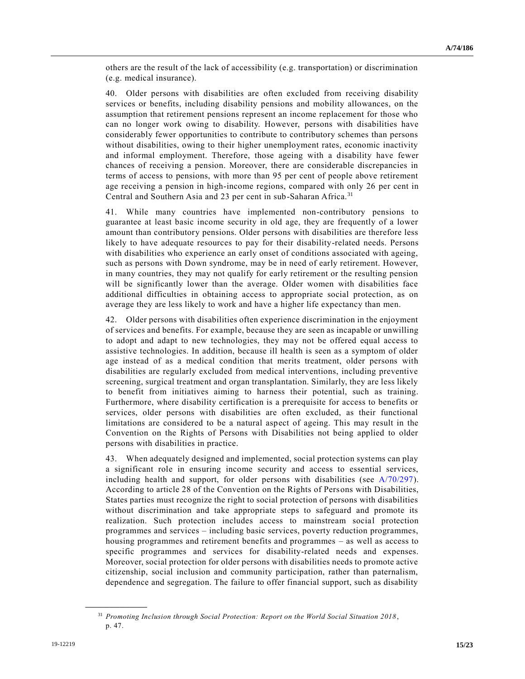others are the result of the lack of accessibility (e.g. transportation) or discrimination (e.g. medical insurance).

40. Older persons with disabilities are often excluded from receiving disability services or benefits, including disability pensions and mobility allowances, on the assumption that retirement pensions represent an income replacement for those who can no longer work owing to disability. However, persons with disabilities have considerably fewer opportunities to contribute to contributory schemes than persons without disabilities, owing to their higher unemployment rates, economic inactivity and informal employment. Therefore, those ageing with a disability have fewer chances of receiving a pension. Moreover, there are considerable discrepancies in terms of access to pensions, with more than 95 per cent of people above retirement age receiving a pension in high-income regions, compared with only 26 per cent in Central and Southern Asia and 23 per cent in sub-Saharan Africa.<sup>31</sup>

41. While many countries have implemented non-contributory pensions to guarantee at least basic income security in old age, they are frequently of a lower amount than contributory pensions. Older persons with disabilities are therefore less likely to have adequate resources to pay for their disability-related needs. Persons with disabilities who experience an early onset of conditions associated with ageing, such as persons with Down syndrome, may be in need of early retirement. However, in many countries, they may not qualify for early retirement or the resulting pension will be significantly lower than the average. Older women with disabilities face additional difficulties in obtaining access to appropriate social protection, as on average they are less likely to work and have a higher life expectancy than men.

42. Older persons with disabilities often experience discrimination in the enjoyment of services and benefits. For example, because they are seen as incapable or unwilling to adopt and adapt to new technologies, they may not be offered equal access to assistive technologies. In addition, because ill health is seen as a symptom of older age instead of as a medical condition that merits treatment, older persons with disabilities are regularly excluded from medical interventions, including preventive screening, surgical treatment and organ transplantation. Similarly, they are less likely to benefit from initiatives aiming to harness their potential, such as training. Furthermore, where disability certification is a prerequisite for access to benefits or services, older persons with disabilities are often excluded, as their functional limitations are considered to be a natural aspect of ageing. This may result in the Convention on the Rights of Persons with Disabilities not being applied to older persons with disabilities in practice.

43. When adequately designed and implemented, social protection systems can play a significant role in ensuring income security and access to essential services, including health and support, for older persons with disabilities (see  $A/70/297$ ). According to article 28 of the Convention on the Rights of Persons with Disabilities, States parties must recognize the right to social protection of persons with disabilities without discrimination and take appropriate steps to safeguard and promote its realization. Such protection includes access to mainstream social protection programmes and services – including basic services, poverty reduction programmes, housing programmes and retirement benefits and programmes – as well as access to specific programmes and services for disability-related needs and expenses. Moreover, social protection for older persons with disabilities needs to promote active citizenship, social inclusion and community participation, rather than paternalism, dependence and segregation. The failure to offer financial support, such as disability

<sup>31</sup> *Promoting Inclusion through Social Protection: Report on the World Social Situation 2018* , p. 47.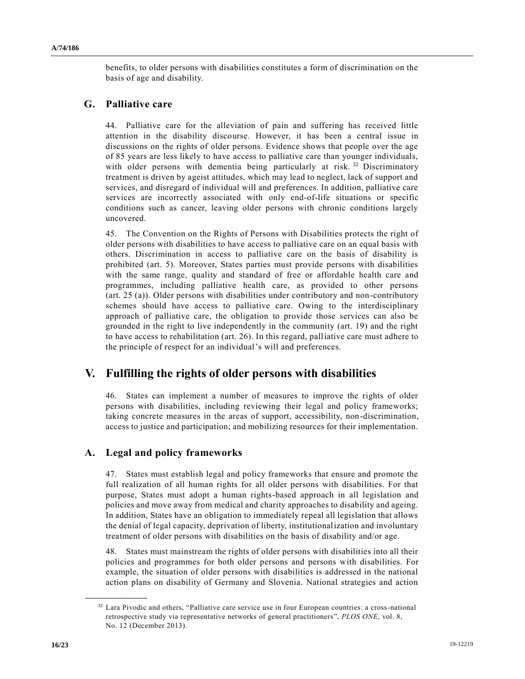benefits, to older persons with disabilities constitutes a form of discrimination on the basis of age and disability.

## **G. Palliative care**

44. Palliative care for the alleviation of pain and suffering has received little attention in the disability discourse. However, it has been a central issue in discussions on the rights of older persons. Evidence shows that people over the age of 85 years are less likely to have access to palliative care than younger individuals, with older persons with dementia being particularly at risk.<sup>32</sup> Discriminatory treatment is driven by ageist attitudes, which may lead to neglect, lack of support and services, and disregard of individual will and preferences. In addition, palliative care services are incorrectly associated with only end-of-life situations or specific conditions such as cancer, leaving older persons with chronic conditions largely uncovered.

45. The Convention on the Rights of Persons with Disabilities protects the right of older persons with disabilities to have access to palliative care on an equal basis with others. Discrimination in access to palliative care on the basis of disability is prohibited (art. 5). Moreover, States parties must provide persons with disabilities with the same range, quality and standard of free or affordable health care and programmes, including palliative health care, as provided to other persons (art. 25 (a)). Older persons with disabilities under contributory and non-contributory schemes should have access to palliative care. Owing to the interdisciplinary approach of palliative care, the obligation to provide those services can also be grounded in the right to live independently in the community (art. 19) and the right to have access to rehabilitation (art. 26). In this regard, palliative care must adhere to the principle of respect for an individual's will and preferences.

# **V. Fulfilling the rights of older persons with disabilities**

46. States can implement a number of measures to improve the rights of older persons with disabilities, including reviewing their legal and policy frameworks; taking concrete measures in the areas of support, accessibility, non-discrimination, access to justice and participation; and mobilizing resources for their implementation.

## **A. Legal and policy frameworks**

47. States must establish legal and policy frameworks that ensure and promote the full realization of all human rights for all older persons with disabilities. For that purpose, States must adopt a human rights-based approach in all legislation and policies and move away from medical and charity approaches to disability and ageing. In addition, States have an obligation to immediately repeal all legislation that allows the denial of legal capacity, deprivation of liberty, institutionalization and involuntary treatment of older persons with disabilities on the basis of disability and/or age.

48. States must mainstream the rights of older persons with disabilities into all their policies and programmes for both older persons and persons with disabilities. For example, the situation of older persons with disabilities is addressed in the national action plans on disability of Germany and Slovenia. National strategies and action

<sup>&</sup>lt;sup>32</sup> Lara Pivodic and others, "Palliative care service use in four European countries: a cross-national retrospective study via representative networks of general practitioners", *PLOS ONE*, vol. 8, No. 12 (December 2013).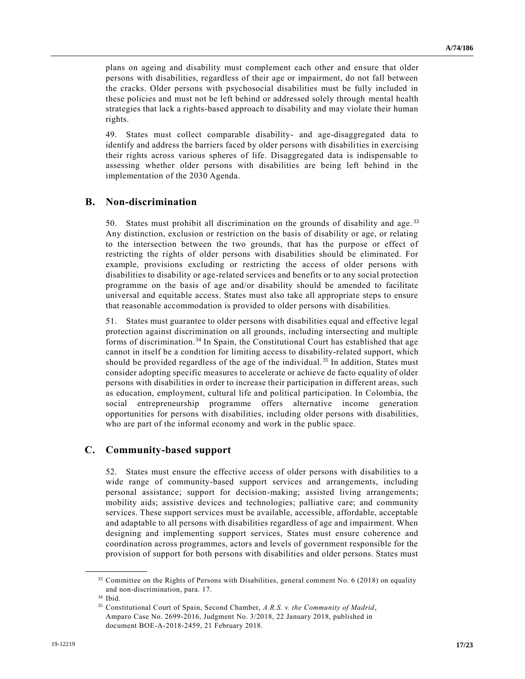plans on ageing and disability must complement each other and ensure that older persons with disabilities, regardless of their age or impairment, do not fall between the cracks. Older persons with psychosocial disabilities must be fully included in these policies and must not be left behind or addressed solely through mental health strategies that lack a rights-based approach to disability and may violate their human rights.

49. States must collect comparable disability- and age-disaggregated data to identify and address the barriers faced by older persons with disabilities in exercising their rights across various spheres of life. Disaggregated data is indispensable to assessing whether older persons with disabilities are being left behind in the implementation of the 2030 Agenda.

## **B. Non-discrimination**

50. States must prohibit all discrimination on the grounds of disability and age. <sup>33</sup> Any distinction, exclusion or restriction on the basis of disability or age, or relating to the intersection between the two grounds, that has the purpose or effect of restricting the rights of older persons with disabilities should be eliminated. For example, provisions excluding or restricting the access of older persons with disabilities to disability or age-related services and benefits or to any social protection programme on the basis of age and/or disability should be amended to facilitate universal and equitable access. States must also take all appropriate steps to ensure that reasonable accommodation is provided to older persons with disabilities.

51. States must guarantee to older persons with disabilities equal and effective legal protection against discrimination on all grounds, including intersecting and multiple forms of discrimination.<sup>34</sup> In Spain, the Constitutional Court has established that age cannot in itself be a condition for limiting access to disability-related support, which should be provided regardless of the age of the individual. <sup>35</sup> In addition, States must consider adopting specific measures to accelerate or achieve de facto equality of older persons with disabilities in order to increase their participation in different areas, such as education, employment, cultural life and political participation. In Colombia, the social entrepreneurship programme offers alternative income generation opportunities for persons with disabilities, including older persons with disabilities, who are part of the informal economy and work in the public space.

## **C. Community-based support**

52. States must ensure the effective access of older persons with disabilities to a wide range of community-based support services and arrangements, including personal assistance; support for decision-making; assisted living arrangements; mobility aids; assistive devices and technologies; palliative care; and community services. These support services must be available, accessible, affordable, acceptable and adaptable to all persons with disabilities regardless of age and impairment. When designing and implementing support services, States must ensure coherence and coordination across programmes, actors and levels of government responsible for the provision of support for both persons with disabilities and older persons. States must

<sup>&</sup>lt;sup>33</sup> Committee on the Rights of Persons with Disabilities, general comment No. 6 (2018) on equality and non-discrimination, para. 17.

<sup>34</sup> Ibid.

<sup>35</sup> Constitutional Court of Spain, Second Chamber, *A.R.S. v. the Community of Madrid*, Amparo Case No. 2699-2016, Judgment No. 3/2018, 22 January 2018, published in document BOE-A-2018-2459, 21 February 2018.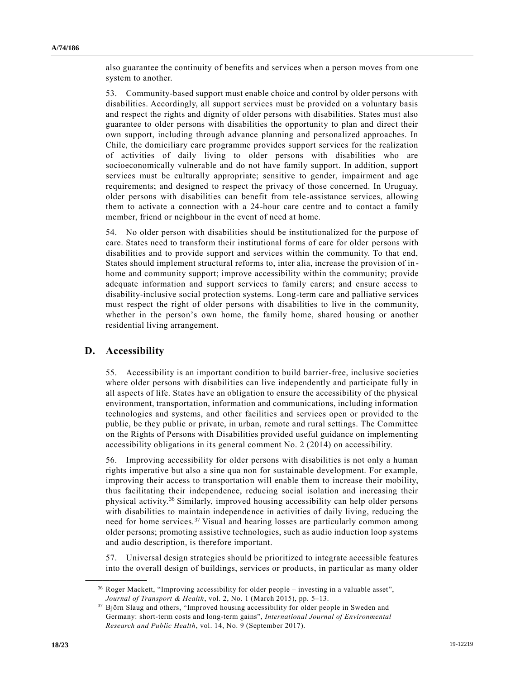also guarantee the continuity of benefits and services when a person moves from one system to another.

53. Community-based support must enable choice and control by older persons with disabilities. Accordingly, all support services must be provided on a voluntary basis and respect the rights and dignity of older persons with disabilities. States must also guarantee to older persons with disabilities the opportunity to plan and direct their own support, including through advance planning and personalized approaches. In Chile, the domiciliary care programme provides support services for the realization of activities of daily living to older persons with disabilities who are socioeconomically vulnerable and do not have family support. In addition, support services must be culturally appropriate; sensitive to gender, impairment and age requirements; and designed to respect the privacy of those concerned. In Uruguay, older persons with disabilities can benefit from tele-assistance services, allowing them to activate a connection with a 24-hour care centre and to contact a family member, friend or neighbour in the event of need at home.

54. No older person with disabilities should be institutionalized for the purpose of care. States need to transform their institutional forms of care for older persons with disabilities and to provide support and services within the community. To that end, States should implement structural reforms to, inter alia, increase the provision of in home and community support; improve accessibility within the community; provide adequate information and support services to family carers; and ensure access to disability-inclusive social protection systems. Long-term care and palliative services must respect the right of older persons with disabilities to live in the community, whether in the person's own home, the family home, shared housing or another residential living arrangement.

## **D. Accessibility**

**\_\_\_\_\_\_\_\_\_\_\_\_\_\_\_\_\_\_**

55. Accessibility is an important condition to build barrier-free, inclusive societies where older persons with disabilities can live independently and participate fully in all aspects of life. States have an obligation to ensure the accessibility of the physical environment, transportation, information and communications, including information technologies and systems, and other facilities and services open or provided to the public, be they public or private, in urban, remote and rural settings. The Committee on the Rights of Persons with Disabilities provided useful guidance on implementing accessibility obligations in its general comment No. 2 (2014) on accessibility.

56. Improving accessibility for older persons with disabilities is not only a human rights imperative but also a sine qua non for sustainable development. For example, improving their access to transportation will enable them to increase their mobility, thus facilitating their independence, reducing social isolation and increasing their physical activity.<sup>36</sup> Similarly, improved housing accessibility can help older persons with disabilities to maintain independence in activities of daily living, reducing the need for home services.<sup>37</sup> Visual and hearing losses are particularly common among older persons; promoting assistive technologies, such as audio induction loop systems and audio description, is therefore important.

57. Universal design strategies should be prioritized to integrate accessible features into the overall design of buildings, services or products, in particular as many older

<sup>36</sup> Roger Mackett, "Improving accessibility for older people – investing in a valuable asset", *Journal of Transport & Health*, vol. 2, No. 1 (March 2015), pp. 5–13.

<sup>37</sup> Björn Slaug and others, "Improved housing accessibility for older people in Sweden and Germany: short-term costs and long-term gains", *International Journal of Environmental Research and Public Health*, vol. 14, No. 9 (September 2017).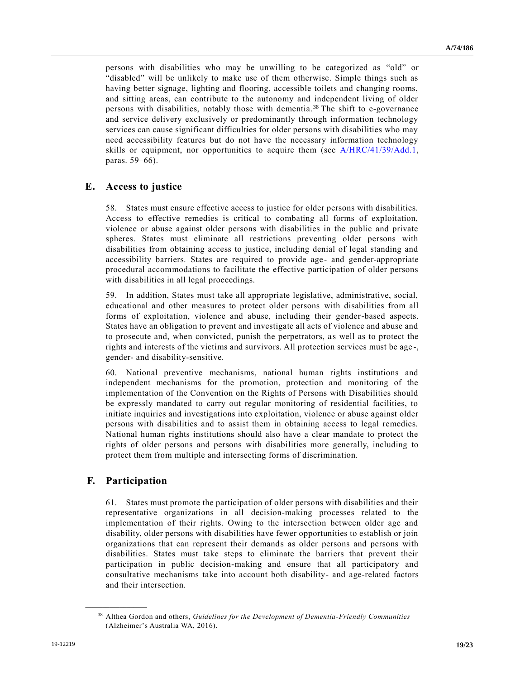persons with disabilities who may be unwilling to be categorized as "old" or "disabled" will be unlikely to make use of them otherwise. Simple things such as having better signage, lighting and flooring, accessible toilets and changing rooms, and sitting areas, can contribute to the autonomy and independent living of older persons with disabilities, notably those with dementia. <sup>38</sup> The shift to e-governance and service delivery exclusively or predominantly through information technology services can cause significant difficulties for older persons with disabilities who may need accessibility features but do not have the necessary information technology skills or equipment, nor opportunities to acquire them (see [A/HRC/41/39/Add.1,](https://undocs.org/en/A/HRC/41/39/Add.1) paras. 59–66).

### **E. Access to justice**

58. States must ensure effective access to justice for older persons with disabilities. Access to effective remedies is critical to combating all forms of exploitation, violence or abuse against older persons with disabilities in the public and private spheres. States must eliminate all restrictions preventing older persons with disabilities from obtaining access to justice, including denial of legal standing and accessibility barriers. States are required to provide age- and gender-appropriate procedural accommodations to facilitate the effective participation of older persons with disabilities in all legal proceedings.

59. In addition, States must take all appropriate legislative, administrative, social, educational and other measures to protect older persons with disabilities from all forms of exploitation, violence and abuse, including their gender-based aspects. States have an obligation to prevent and investigate all acts of violence and abuse and to prosecute and, when convicted, punish the perpetrators, as well as to protect the rights and interests of the victims and survivors. All protection services must be age -, gender- and disability-sensitive.

60. National preventive mechanisms, national human rights institutions and independent mechanisms for the promotion, protection and monitoring of the implementation of the Convention on the Rights of Persons with Disabilities should be expressly mandated to carry out regular monitoring of residential facilities, to initiate inquiries and investigations into exploitation, violence or abuse against older persons with disabilities and to assist them in obtaining access to legal remedies. National human rights institutions should also have a clear mandate to protect the rights of older persons and persons with disabilities more generally, including to protect them from multiple and intersecting forms of discrimination.

## **F. Participation**

**\_\_\_\_\_\_\_\_\_\_\_\_\_\_\_\_\_\_**

61. States must promote the participation of older persons with disabilities and their representative organizations in all decision-making processes related to the implementation of their rights. Owing to the intersection between older age and disability, older persons with disabilities have fewer opportunities to establish or join organizations that can represent their demands as older persons and persons with disabilities. States must take steps to eliminate the barriers that prevent their participation in public decision-making and ensure that all participatory and consultative mechanisms take into account both disability- and age-related factors and their intersection.

<sup>38</sup> Althea Gordon and others, *Guidelines for the Development of Dementia-Friendly Communities* (Alzheimer's Australia WA, 2016).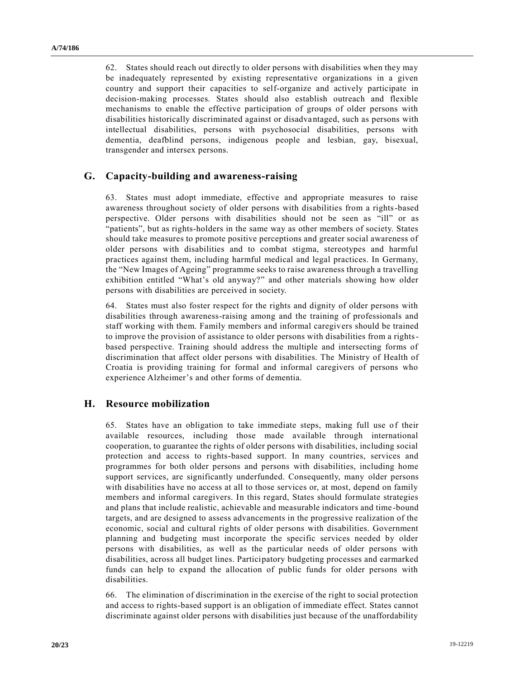62. States should reach out directly to older persons with disabilities when they may be inadequately represented by existing representative organizations in a given country and support their capacities to self-organize and actively participate in decision-making processes. States should also establish outreach and flexible mechanisms to enable the effective participation of groups of older persons with disabilities historically discriminated against or disadvantaged, such as persons with intellectual disabilities, persons with psychosocial disabilities, persons with dementia, deafblind persons, indigenous people and lesbian, gay, bisexual, transgender and intersex persons.

## **G. Capacity-building and awareness-raising**

63. States must adopt immediate, effective and appropriate measures to raise awareness throughout society of older persons with disabilities from a rights-based perspective. Older persons with disabilities should not be seen as "ill" or as "patients", but as rights-holders in the same way as other members of society. States should take measures to promote positive perceptions and greater social awareness of older persons with disabilities and to combat stigma, stereotypes and harmful practices against them, including harmful medical and legal practices. In Germany, the "New Images of Ageing" programme seeks to raise awareness through a travelling exhibition entitled "What's old anyway?" and other materials showing how older persons with disabilities are perceived in society.

64. States must also foster respect for the rights and dignity of older persons with disabilities through awareness-raising among and the training of professionals and staff working with them. Family members and informal caregivers should be trained to improve the provision of assistance to older persons with disabilities from a rightsbased perspective. Training should address the multiple and intersecting forms of discrimination that affect older persons with disabilities. The Ministry of Health of Croatia is providing training for formal and informal caregivers of persons who experience Alzheimer's and other forms of dementia.

### **H. Resource mobilization**

65. States have an obligation to take immediate steps, making full use of their available resources, including those made available through international cooperation, to guarantee the rights of older persons with disabilities, including social protection and access to rights-based support. In many countries, services and programmes for both older persons and persons with disabilities, including home support services, are significantly underfunded. Consequently, many older persons with disabilities have no access at all to those services or, at most, depend on family members and informal caregivers. In this regard, States should formulate strategies and plans that include realistic, achievable and measurable indicators and time -bound targets, and are designed to assess advancements in the progressive realization of the economic, social and cultural rights of older persons with disabilities. Government planning and budgeting must incorporate the specific services needed by older persons with disabilities, as well as the particular needs of older persons with disabilities, across all budget lines. Participatory budgeting processes and earmarked funds can help to expand the allocation of public funds for older persons with disabilities.

66. The elimination of discrimination in the exercise of the right to social protection and access to rights-based support is an obligation of immediate effect. States cannot discriminate against older persons with disabilities just because of the unaffordability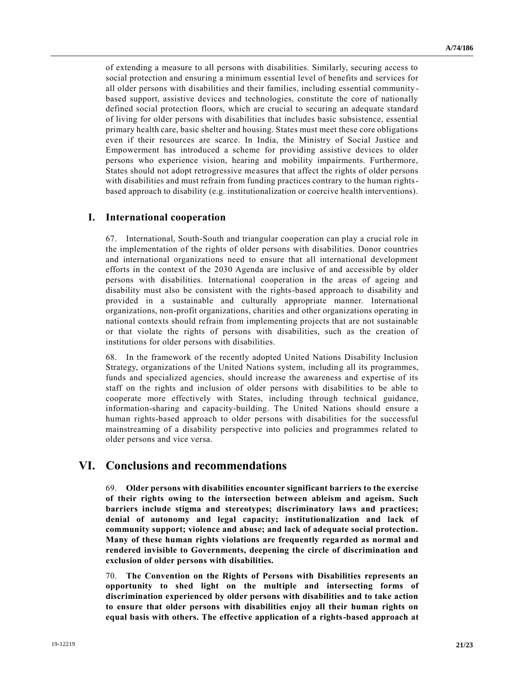of extending a measure to all persons with disabilities. Similarly, securing access to social protection and ensuring a minimum essential level of benefits and services for all older persons with disabilities and their families, including essential community based support, assistive devices and technologies, constitute the core of nationally defined social protection floors, which are crucial to securing an adequate standard of living for older persons with disabilities that includes basic subsistence, essential primary health care, basic shelter and housing. States must meet these core obligations even if their resources are scarce. In India, the Ministry of Social Justice and Empowerment has introduced a scheme for providing assistive devices to older persons who experience vision, hearing and mobility impairments. Furthermore, States should not adopt retrogressive measures that affect the rights of older persons with disabilities and must refrain from funding practices contrary to the human rightsbased approach to disability (e.g. institutionalization or coercive health interventions).

### **I. International cooperation**

67. International, South-South and triangular cooperation can play a crucial role in the implementation of the rights of older persons with disabilities. Donor countries and international organizations need to ensure that all international development efforts in the context of the 2030 Agenda are inclusive of and accessible by older persons with disabilities. International cooperation in the areas of ageing and disability must also be consistent with the rights-based approach to disability and provided in a sustainable and culturally appropriate manner. International organizations, non-profit organizations, charities and other organizations operating in national contexts should refrain from implementing projects that are not sustainable or that violate the rights of persons with disabilities, such as the creation of institutions for older persons with disabilities.

68. In the framework of the recently adopted United Nations Disability Inclusion Strategy, organizations of the United Nations system, including all its programmes, funds and specialized agencies, should increase the awareness and expertise of its staff on the rights and inclusion of older persons with disabilities to be able to cooperate more effectively with States, including through technical guidance, information-sharing and capacity-building. The United Nations should ensure a human rights-based approach to older persons with disabilities for the successful mainstreaming of a disability perspective into policies and programmes related to older persons and vice versa.

## **VI. Conclusions and recommendations**

69. **Older persons with disabilities encounter significant barriers to the exercise of their rights owing to the intersection between ableism and ageism. Such barriers include stigma and stereotypes; discriminatory laws and practices; denial of autonomy and legal capacity; institutionalization and lack of community support; violence and abuse; and lack of adequate social protection. Many of these human rights violations are frequently regarded as normal and rendered invisible to Governments, deepening the circle of discrimination and exclusion of older persons with disabilities.**

70. **The Convention on the Rights of Persons with Disabilities represents an opportunity to shed light on the multiple and intersecting forms of discrimination experienced by older persons with disabilities and to take action to ensure that older persons with disabilities enjoy all their human rights on equal basis with others. The effective application of a rights-based approach at**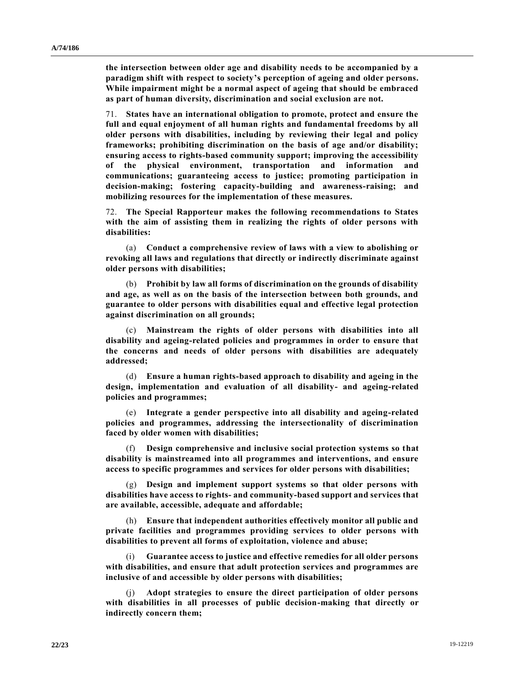**the intersection between older age and disability needs to be accompanied by a paradigm shift with respect to society's perception of ageing and older persons. While impairment might be a normal aspect of ageing that should be embraced as part of human diversity, discrimination and social exclusion are not.**

71. **States have an international obligation to promote, protect and ensure the full and equal enjoyment of all human rights and fundamental freedoms by all older persons with disabilities, including by reviewing their legal and policy frameworks; prohibiting discrimination on the basis of age and/or disability; ensuring access to rights-based community support; improving the accessibility of the physical environment, transportation and information and communications; guaranteeing access to justice; promoting participation in decision-making; fostering capacity-building and awareness-raising; and mobilizing resources for the implementation of these measures.**

72. **The Special Rapporteur makes the following recommendations to States with the aim of assisting them in realizing the rights of older persons with disabilities:**

(a) **Conduct a comprehensive review of laws with a view to abolishing or revoking all laws and regulations that directly or indirectly discriminate against older persons with disabilities;**

(b) **Prohibit by law all forms of discrimination on the grounds of disability and age, as well as on the basis of the intersection between both grounds, and guarantee to older persons with disabilities equal and effective legal protection against discrimination on all grounds;**

(c) **Mainstream the rights of older persons with disabilities into all disability and ageing-related policies and programmes in order to ensure that the concerns and needs of older persons with disabilities are adequately addressed;**

(d) **Ensure a human rights-based approach to disability and ageing in the design, implementation and evaluation of all disability- and ageing-related policies and programmes;**

(e) **Integrate a gender perspective into all disability and ageing-related policies and programmes, addressing the intersectionality of discrimination faced by older women with disabilities;**

(f) **Design comprehensive and inclusive social protection systems so that disability is mainstreamed into all programmes and interventions, and ensure access to specific programmes and services for older persons with disabilities;**

(g) **Design and implement support systems so that older persons with disabilities have access to rights- and community-based support and services that are available, accessible, adequate and affordable;**

(h) **Ensure that independent authorities effectively monitor all public and private facilities and programmes providing services to older persons with disabilities to prevent all forms of exploitation, violence and abuse;**

(i) **Guarantee access to justice and effective remedies for all older persons with disabilities, and ensure that adult protection services and programmes are inclusive of and accessible by older persons with disabilities;**

(j) **Adopt strategies to ensure the direct participation of older persons with disabilities in all processes of public decision-making that directly or indirectly concern them;**